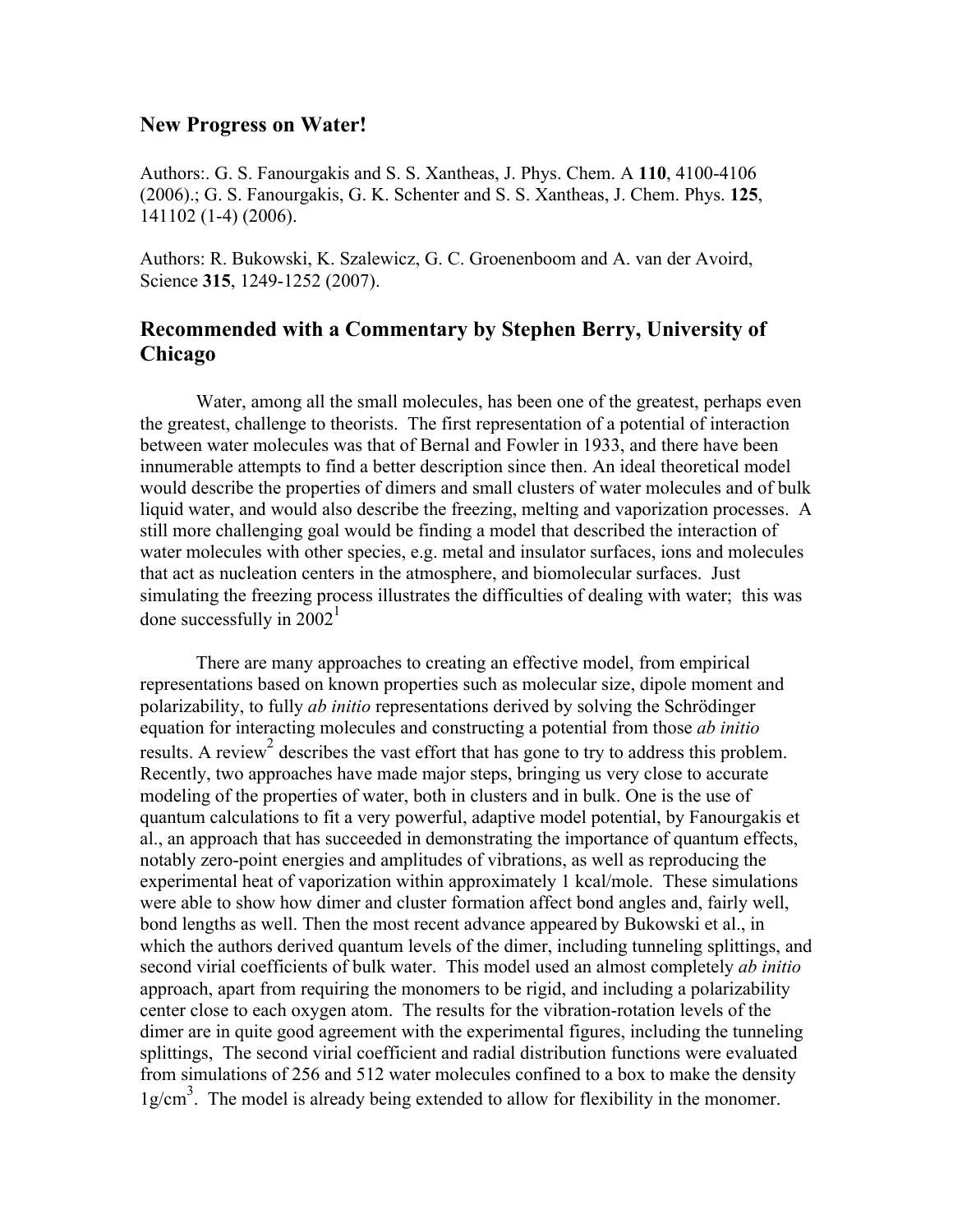## **New Progress on Water!**

Authors:. G. S. Fanourgakis and S. S. Xantheas, J. Phys. Chem. A **110**, 4100-4106 (2006).; G. S. Fanourgakis, G. K. Schenter and S. S. Xantheas, J. Chem. Phys. **125**, 141102 (1-4) (2006).

Authors: R. Bukowski, K. Szalewicz, G. C. Groenenboom and A. van der Avoird, Science **315**, 1249-1252 (2007).

## **Recommended with a Commentary by Stephen Berry, University of Chicago**

Water, among all the small molecules, has been one of the greatest, perhaps even the greatest, challenge to theorists. The first representation of a potential of interaction between water molecules was that of Bernal and Fowler in 1933, and there have been innumerable attempts to find a better description since then. An ideal theoretical model would describe the properties of dimers and small clusters of water molecules and of bulk liquid water, and would also describe the freezing, melting and vaporization processes. A still more challenging goal would be finding a model that described the interaction of water molecules with other species, e.g. metal and insulator surfaces, ions and molecules that act as nucleation centers in the atmosphere, and biomolecular surfaces. Just simulating the freezing process illustrates the difficulties of dealing with water; this was done successfully in  $2002<sup>1</sup>$ 

There are many approaches to creating an effective model, from empirical representations based on known properties such as molecular size, dipole moment and polarizability, to fully *ab initio* representations derived by solving the Schrödinger equation for interacting molecules and constructing a potential from those *ab initio* results. A review<sup>2</sup> describes the vast effort that has gone to try to address this problem. Recently, two approaches have made major steps, bringing us very close to accurate modeling of the properties of water, both in clusters and in bulk. One is the use of quantum calculations to fit a very powerful, adaptive model potential, by Fanourgakis et al., an approach that has succeeded in demonstrating the importance of quantum effects, notably zero-point energies and amplitudes of vibrations, as well as reproducing the experimental heat of vaporization within approximately 1 kcal/mole. These simulations were able to show how dimer and cluster formation affect bond angles and, fairly well, bond lengths as well. Then the most recent advance appeared by Bukowski et al., in which the authors derived quantum levels of the dimer, including tunneling splittings, and second virial coefficients of bulk water. This model used an almost completely *ab initio* approach, apart from requiring the monomers to be rigid, and including a polarizability center close to each oxygen atom. The results for the vibration-rotation levels of the dimer are in quite good agreement with the experimental figures, including the tunneling splittings, The second virial coefficient and radial distribution functions were evaluated from simulations of 256 and 512 water molecules confined to a box to make the density  $1g/cm<sup>3</sup>$ . The model is already being extended to allow for flexibility in the monomer.